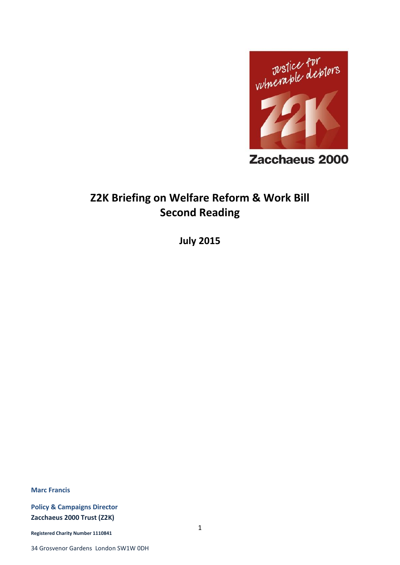

Zacchaeus 2000

# **Z2K Briefing on Welfare Reform & Work Bill Second Reading**

**July 2015**

**Marc Francis**

**Policy & Campaigns Director Zacchaeus 2000 Trust (Z2K)**

**Registered Charity Number 1110841**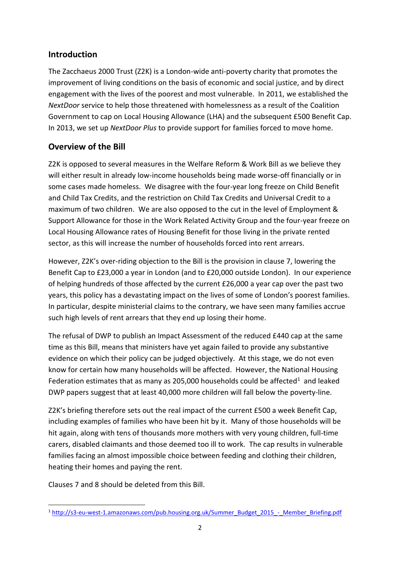## **Introduction**

The Zacchaeus 2000 Trust (Z2K) is a London-wide anti-poverty charity that promotes the improvement of living conditions on the basis of economic and social justice, and by direct engagement with the lives of the poorest and most vulnerable. In 2011, we established the *NextDoor* service to help those threatened with homelessness as a result of the Coalition Government to cap on Local Housing Allowance (LHA) and the subsequent £500 Benefit Cap. In 2013, we set up *NextDoor Plus* to provide support for families forced to move home.

# **Overview of the Bill**

Z2K is opposed to several measures in the Welfare Reform & Work Bill as we believe they will either result in already low-income households being made worse-off financially or in some cases made homeless. We disagree with the four-year long freeze on Child Benefit and Child Tax Credits, and the restriction on Child Tax Credits and Universal Credit to a maximum of two children. We are also opposed to the cut in the level of Employment & Support Allowance for those in the Work Related Activity Group and the four-year freeze on Local Housing Allowance rates of Housing Benefit for those living in the private rented sector, as this will increase the number of households forced into rent arrears.

However, Z2K's over-riding objection to the Bill is the provision in clause 7, lowering the Benefit Cap to £23,000 a year in London (and to £20,000 outside London). In our experience of helping hundreds of those affected by the current £26,000 a year cap over the past two years, this policy has a devastating impact on the lives of some of London's poorest families. In particular, despite ministerial claims to the contrary, we have seen many families accrue such high levels of rent arrears that they end up losing their home.

The refusal of DWP to publish an Impact Assessment of the reduced £440 cap at the same time as this Bill, means that ministers have yet again failed to provide any substantive evidence on which their policy can be judged objectively. At this stage, we do not even know for certain how many households will be affected. However, the National Housing Federation estimates that as many as 205,000 households could be affected<sup>1</sup> and leaked DWP papers suggest that at least 40,000 more children will fall below the poverty-line.

Z2K's briefing therefore sets out the real impact of the current £500 a week Benefit Cap, including examples of families who have been hit by it. Many of those households will be hit again, along with tens of thousands more mothers with very young children, full-time carers, disabled claimants and those deemed too ill to work. The cap results in vulnerable families facing an almost impossible choice between feeding and clothing their children, heating their homes and paying the rent.

Clauses 7 and 8 should be deleted from this Bill.

**<sup>.</sup>** <sup>1</sup> [http://s3-eu-west-1.amazonaws.com/pub.housing.org.uk/Summer\\_Budget\\_2015\\_-\\_Member\\_Briefing.pdf](http://s3-eu-west-1.amazonaws.com/pub.housing.org.uk/Summer_Budget_2015_-_Member_Briefing.pdf)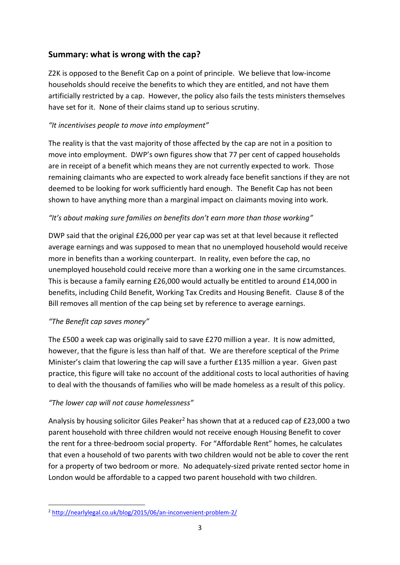# **Summary: what is wrong with the cap?**

Z2K is opposed to the Benefit Cap on a point of principle. We believe that low-income households should receive the benefits to which they are entitled, and not have them artificially restricted by a cap. However, the policy also fails the tests ministers themselves have set for it. None of their claims stand up to serious scrutiny.

## *"It incentivises people to move into employment"*

The reality is that the vast majority of those affected by the cap are not in a position to move into employment. DWP's own figures show that 77 per cent of capped households are in receipt of a benefit which means they are not currently expected to work. Those remaining claimants who are expected to work already face benefit sanctions if they are not deemed to be looking for work sufficiently hard enough. The Benefit Cap has not been shown to have anything more than a marginal impact on claimants moving into work.

## *"It's about making sure families on benefits don't earn more than those working"*

DWP said that the original £26,000 per year cap was set at that level because it reflected average earnings and was supposed to mean that no unemployed household would receive more in benefits than a working counterpart. In reality, even before the cap, no unemployed household could receive more than a working one in the same circumstances. This is because a family earning £26,000 would actually be entitled to around £14,000 in benefits, including Child Benefit, Working Tax Credits and Housing Benefit. Clause 8 of the Bill removes all mention of the cap being set by reference to average earnings.

## *"The Benefit cap saves money"*

**.** 

The £500 a week cap was originally said to save £270 million a year. It is now admitted, however, that the figure is less than half of that. We are therefore sceptical of the Prime Minister's claim that lowering the cap will save a further £135 million a year. Given past practice, this figure will take no account of the additional costs to local authorities of having to deal with the thousands of families who will be made homeless as a result of this policy.

## *"The lower cap will not cause homelessness"*

Analysis by housing solicitor Giles Peaker<sup>2</sup> has shown that at a reduced cap of £23,000 a two parent household with three children would not receive enough Housing Benefit to cover the rent for a three-bedroom social property. For "Affordable Rent" homes, he calculates that even a household of two parents with two children would not be able to cover the rent for a property of two bedroom or more. No adequately-sized private rented sector home in London would be affordable to a capped two parent household with two children.

<sup>2</sup> <http://nearlylegal.co.uk/blog/2015/06/an-inconvenient-problem-2/>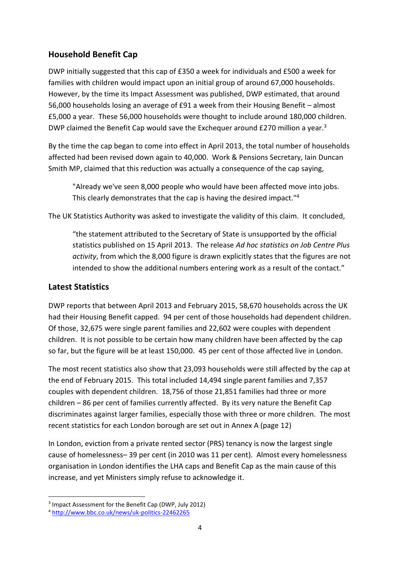## **Household Benefit Cap**

DWP initially suggested that this cap of £350 a week for individuals and £500 a week for families with children would impact upon an initial group of around 67,000 households. However, by the time its Impact Assessment was published, DWP estimated, that around 56,000 households losing an average of £91 a week from their Housing Benefit – almost £5,000 a year. These 56,000 households were thought to include around 180,000 children. DWP claimed the Benefit Cap would save the Exchequer around £270 million a year.<sup>3</sup>

By the time the cap began to come into effect in April 2013, the total number of households affected had been revised down again to 40,000. Work & Pensions Secretary, Iain Duncan Smith MP, claimed that this reduction was actually a consequence of the cap saying,

"Already we've seen 8,000 people who would have been affected move into jobs. This clearly demonstrates that the cap is having the desired impact."<sup>4</sup>

The UK Statistics Authority was asked to investigate the validity of this claim. It concluded,

"the statement attributed to the Secretary of State is unsupported by the official statistics published on 15 April 2013. The release *Ad hoc statistics on Job Centre Plus activity*, from which the 8,000 figure is drawn explicitly states that the figures are not intended to show the additional numbers entering work as a result of the contact."

## **Latest Statistics**

**.** 

DWP reports that between April 2013 and February 2015, 58,670 households across the UK had their Housing Benefit capped. 94 per cent of those households had dependent children. Of those, 32,675 were single parent families and 22,602 were couples with dependent children. It is not possible to be certain how many children have been affected by the cap so far, but the figure will be at least 150,000. 45 per cent of those affected live in London.

The most recent statistics also show that 23,093 households were still affected by the cap at the end of February 2015. This total included 14,494 single parent families and 7,357 couples with dependent children. 18,756 of those 21,851 families had three or more children – 86 per cent of families currently affected. By its very nature the Benefit Cap discriminates against larger families, especially those with three or more children. The most recent statistics for each London borough are set out in Annex A (page 12)

In London, eviction from a private rented sector (PRS) tenancy is now the largest single cause of homelessness– 39 per cent (in 2010 was 11 per cent). Almost every homelessness organisation in London identifies the LHA caps and Benefit Cap as the main cause of this increase, and yet Ministers simply refuse to acknowledge it.

<sup>&</sup>lt;sup>3</sup> Impact Assessment for the Benefit Cap (DWP, July 2012)

<sup>4</sup> <http://www.bbc.co.uk/news/uk-politics-22462265>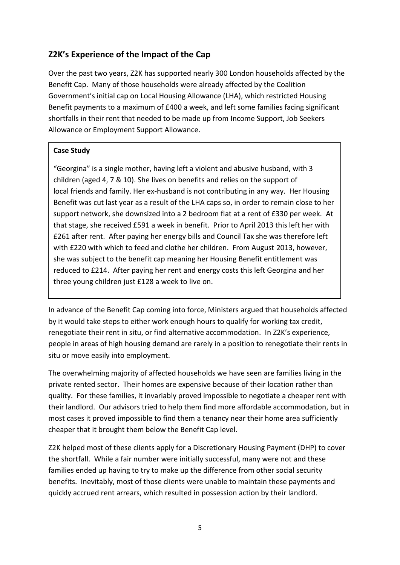# **Z2K's Experience of the Impact of the Cap**

Over the past two years, Z2K has supported nearly 300 London households affected by the Benefit Cap. Many of those households were already affected by the Coalition Government's initial cap on Local Housing Allowance (LHA), which restricted Housing Benefit payments to a maximum of £400 a week, and left some families facing significant shortfalls in their rent that needed to be made up from Income Support, Job Seekers Allowance or Employment Support Allowance.

#### **Case Study**

"Georgina" is a single mother, having left a violent and abusive husband, with 3 children (aged 4, 7 & 10). She lives on benefits and relies on the support of local friends and family. Her ex-husband is not contributing in any way. Her Housing Benefit was cut last year as a result of the LHA caps so, in order to remain close to her support network, she downsized into a 2 bedroom flat at a rent of £330 per week. At that stage, she received £591 a week in benefit. Prior to April 2013 this left her with £261 after rent. After paying her energy bills and Council Tax she was therefore left with £220 with which to feed and clothe her children. From August 2013, however, she was subject to the benefit cap meaning her Housing Benefit entitlement was reduced to £214. After paying her rent and energy costs this left Georgina and her three young children just £128 a week to live on.

In advance of the Benefit Cap coming into force, Ministers argued that households affected by it would take steps to either work enough hours to qualify for working tax credit, renegotiate their rent in situ, or find alternative accommodation. In Z2K's experience, people in areas of high housing demand are rarely in a position to renegotiate their rents in situ or move easily into employment.

The overwhelming majority of affected households we have seen are families living in the private rented sector. Their homes are expensive because of their location rather than quality. For these families, it invariably proved impossible to negotiate a cheaper rent with their landlord. Our advisors tried to help them find more affordable accommodation, but in most cases it proved impossible to find them a tenancy near their home area sufficiently cheaper that it brought them below the Benefit Cap level.

Z2K helped most of these clients apply for a Discretionary Housing Payment (DHP) to cover the shortfall. While a fair number were initially successful, many were not and these families ended up having to try to make up the difference from other social security benefits. Inevitably, most of those clients were unable to maintain these payments and quickly accrued rent arrears, which resulted in possession action by their landlord.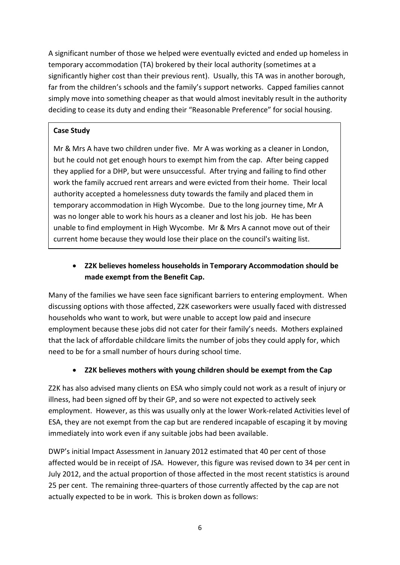A significant number of those we helped were eventually evicted and ended up homeless in temporary accommodation (TA) brokered by their local authority (sometimes at a significantly higher cost than their previous rent). Usually, this TA was in another borough, far from the children's schools and the family's support networks. Capped families cannot simply move into something cheaper as that would almost inevitably result in the authority deciding to cease its duty and ending their "Reasonable Preference" for social housing.

#### **Case Study**

Mr & Mrs A have two children under five. Mr A was working as a cleaner in London, but he could not get enough hours to exempt him from the cap. After being capped they applied for a DHP, but were unsuccessful. After trying and failing to find other work the family accrued rent arrears and were evicted from their home. Their local authority accepted a homelessness duty towards the family and placed them in temporary accommodation in High Wycombe. Due to the long journey time, Mr A was no longer able to work his hours as a cleaner and lost his job. He has been unable to find employment in High Wycombe. Mr & Mrs A cannot move out of their current home because they would lose their place on the council's waiting list.

# **Z2K believes homeless households in Temporary Accommodation should be made exempt from the Benefit Cap.**

Many of the families we have seen face significant barriers to entering employment. When discussing options with those affected, Z2K caseworkers were usually faced with distressed households who want to work, but were unable to accept low paid and insecure employment because these jobs did not cater for their family's needs. Mothers explained that the lack of affordable childcare limits the number of jobs they could apply for, which need to be for a small number of hours during school time.

## **Z2K believes mothers with young children should be exempt from the Cap**

Z2K has also advised many clients on ESA who simply could not work as a result of injury or illness, had been signed off by their GP, and so were not expected to actively seek employment. However, as this was usually only at the lower Work-related Activities level of ESA, they are not exempt from the cap but are rendered incapable of escaping it by moving immediately into work even if any suitable jobs had been available.

DWP's initial Impact Assessment in January 2012 estimated that 40 per cent of those affected would be in receipt of JSA. However, this figure was revised down to 34 per cent in July 2012, and the actual proportion of those affected in the most recent statistics is around 25 per cent. The remaining three-quarters of those currently affected by the cap are not actually expected to be in work. This is broken down as follows: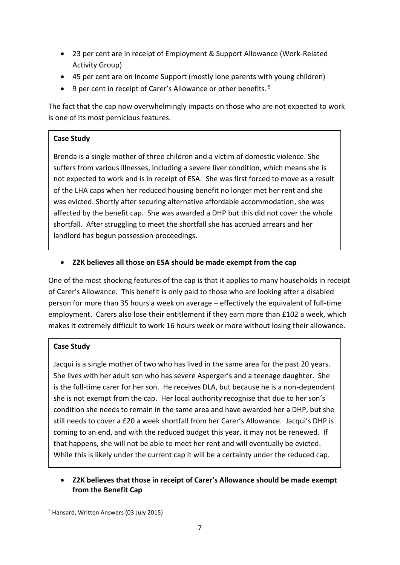- 23 per cent are in receipt of Employment & Support Allowance (Work-Related Activity Group)
- 45 per cent are on Income Support (mostly lone parents with young children)
- $\bullet$  9 per cent in receipt of Carer's Allowance or other benefits.<sup>5</sup>

The fact that the cap now overwhelmingly impacts on those who are not expected to work is one of its most pernicious features.

#### **Case Study**

of the LHA caps when her reduced housing benefit no longer met her rent and she Brenda is a single mother of three children and a victim of domestic violence. She suffers from various illnesses, including a severe liver condition, which means she is not expected to work and is in receipt of ESA. She was first forced to move as a result was evicted. Shortly after securing alternative affordable accommodation, she was affected by the benefit cap. She was awarded a DHP but this did not cover the whole shortfall. After struggling to meet the shortfall she has accrued arrears and her landlord has begun possession proceedings.

#### **Z2K believes all those on ESA should be made exempt from the cap**

One of the most shocking features of the cap is that it applies to many households in receipt of Carer's Allowance. This benefit is only paid to those who are looking after a disabled person for more than 35 hours a week on average – effectively the equivalent of full-time employment. Carers also lose their entitlement if they earn more than £102 a week, which makes it extremely difficult to work 16 hours week or more without losing their allowance.

#### **Case Study**

**.** 

Jacqui is a single mother of two who has lived in the same area for the past 20 years. She lives with her adult son who has severe Asperger's and a teenage daughter. She is the full-time carer for her son. He receives DLA, but because he is a non-dependent she is not exempt from the cap. Her local authority recognise that due to her son's condition she needs to remain in the same area and have awarded her a DHP, but she still needs to cover a £20 a week shortfall from her Carer's Allowance. Jacqui's DHP is coming to an end, and with the reduced budget this year, it may not be renewed. If that happens, she will not be able to meet her rent and will eventually be evicted. While this is likely under the current cap it will be a certainty under the reduced cap.

#### **Z2K believes that those in receipt of Carer's Allowance should be made exempt from the Benefit Cap**

<sup>5</sup> Hansard, Written Answers (03 July 2015)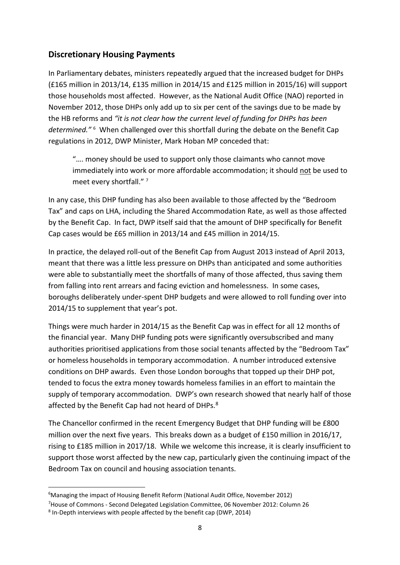## **Discretionary Housing Payments**

In Parliamentary debates, ministers repeatedly argued that the increased budget for DHPs (£165 million in 2013/14, £135 million in 2014/15 and £125 million in 2015/16) will support those households most affected. However, as the National Audit Office (NAO) reported in November 2012, those DHPs only add up to six per cent of the savings due to be made by the HB reforms and *"it is not clear how the current level of funding for DHPs has been determined."* <sup>6</sup> When challenged over this shortfall during the debate on the Benefit Cap regulations in 2012, DWP Minister, Mark Hoban MP conceded that:

"…. money should be used to support only those claimants who cannot move immediately into work or more affordable accommodation; it should not be used to meet every shortfall."<sup>7</sup>

In any case, this DHP funding has also been available to those affected by the "Bedroom Tax" and caps on LHA, including the Shared Accommodation Rate, as well as those affected by the Benefit Cap. In fact, DWP itself said that the amount of DHP specifically for Benefit Cap cases would be £65 million in 2013/14 and £45 million in 2014/15.

In practice, the delayed roll-out of the Benefit Cap from August 2013 instead of April 2013, meant that there was a little less pressure on DHPs than anticipated and some authorities were able to substantially meet the shortfalls of many of those affected, thus saving them from falling into rent arrears and facing eviction and homelessness. In some cases, boroughs deliberately under-spent DHP budgets and were allowed to roll funding over into 2014/15 to supplement that year's pot.

Things were much harder in 2014/15 as the Benefit Cap was in effect for all 12 months of the financial year. Many DHP funding pots were significantly oversubscribed and many authorities prioritised applications from those social tenants affected by the "Bedroom Tax" or homeless households in temporary accommodation. A number introduced extensive conditions on DHP awards. Even those London boroughs that topped up their DHP pot, tended to focus the extra money towards homeless families in an effort to maintain the supply of temporary accommodation. DWP's own research showed that nearly half of those affected by the Benefit Cap had not heard of DHPs.<sup>8</sup>

The Chancellor confirmed in the recent Emergency Budget that DHP funding will be £800 million over the next five years. This breaks down as a budget of £150 million in 2016/17, rising to £185 million in 2017/18. While we welcome this increase, it is clearly insufficient to support those worst affected by the new cap, particularly given the continuing impact of the Bedroom Tax on council and housing association tenants.

**.** 

 $6$ Managing the impact of Housing Benefit Reform (National Audit Office, November 2012)

<sup>7</sup>House of Commons - Second Delegated Legislation Committee, 06 November 2012: Column 26

<sup>&</sup>lt;sup>8</sup> In-Depth interviews with people affected by the benefit cap (DWP, 2014)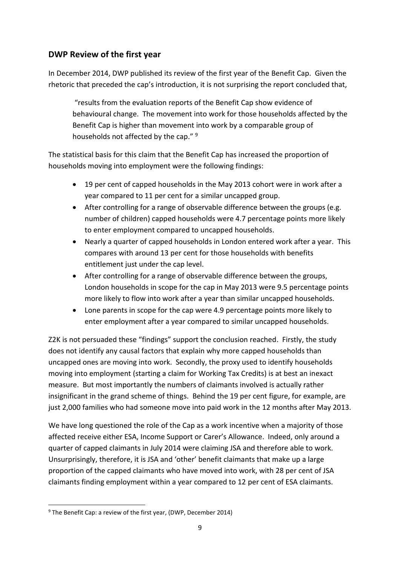## **DWP Review of the first year**

In December 2014, DWP published its review of the first year of the Benefit Cap. Given the rhetoric that preceded the cap's introduction, it is not surprising the report concluded that,

"results from the evaluation reports of the Benefit Cap show evidence of behavioural change. The movement into work for those households affected by the Benefit Cap is higher than movement into work by a comparable group of households not affected by the cap." <sup>9</sup>

The statistical basis for this claim that the Benefit Cap has increased the proportion of households moving into employment were the following findings:

- 19 per cent of capped households in the May 2013 cohort were in work after a year compared to 11 per cent for a similar uncapped group.
- After controlling for a range of observable difference between the groups (e.g. number of children) capped households were 4.7 percentage points more likely to enter employment compared to uncapped households.
- Nearly a quarter of capped households in London entered work after a year. This compares with around 13 per cent for those households with benefits entitlement just under the cap level.
- After controlling for a range of observable difference between the groups, London households in scope for the cap in May 2013 were 9.5 percentage points more likely to flow into work after a year than similar uncapped households.
- Lone parents in scope for the cap were 4.9 percentage points more likely to enter employment after a year compared to similar uncapped households.

Z2K is not persuaded these "findings" support the conclusion reached. Firstly, the study does not identify any causal factors that explain why more capped households than uncapped ones are moving into work. Secondly, the proxy used to identify households moving into employment (starting a claim for Working Tax Credits) is at best an inexact measure. But most importantly the numbers of claimants involved is actually rather insignificant in the grand scheme of things. Behind the 19 per cent figure, for example, are just 2,000 families who had someone move into paid work in the 12 months after May 2013.

We have long questioned the role of the Cap as a work incentive when a majority of those affected receive either ESA, Income Support or Carer's Allowance. Indeed, only around a quarter of capped claimants in July 2014 were claiming JSA and therefore able to work. Unsurprisingly, therefore, it is JSA and 'other' benefit claimants that make up a large proportion of the capped claimants who have moved into work, with 28 per cent of JSA claimants finding employment within a year compared to 12 per cent of ESA claimants.

**<sup>.</sup>**  $9$  The Benefit Cap: a review of the first year, (DWP, December 2014)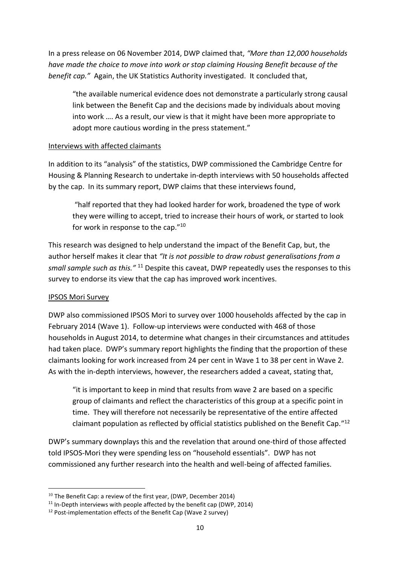In a press release on 06 November 2014, DWP claimed that, *"More than 12,000 households have made the choice to move into work or stop claiming Housing Benefit because of the benefit cap."* Again, the UK Statistics Authority investigated. It concluded that,

"the available numerical evidence does not demonstrate a particularly strong causal link between the Benefit Cap and the decisions made by individuals about moving into work …. As a result, our view is that it might have been more appropriate to adopt more cautious wording in the press statement."

#### Interviews with affected claimants

In addition to its "analysis" of the statistics, DWP commissioned the Cambridge Centre for Housing & Planning Research to undertake in-depth interviews with 50 households affected by the cap. In its summary report, DWP claims that these interviews found,

"half reported that they had looked harder for work, broadened the type of work they were willing to accept, tried to increase their hours of work, or started to look for work in response to the cap."<sup>10</sup>

This research was designed to help understand the impact of the Benefit Cap, but, the author herself makes it clear that *"It is not possible to draw robust generalisations from a small sample such as this."* <sup>11</sup> Despite this caveat, DWP repeatedly uses the responses to this survey to endorse its view that the cap has improved work incentives.

#### IPSOS Mori Survey

DWP also commissioned IPSOS Mori to survey over 1000 households affected by the cap in February 2014 (Wave 1). Follow-up interviews were conducted with 468 of those households in August 2014, to determine what changes in their circumstances and attitudes had taken place. DWP's summary report highlights the finding that the proportion of these claimants looking for work increased from 24 per cent in Wave 1 to 38 per cent in Wave 2. As with the in-depth interviews, however, the researchers added a caveat, stating that,

"it is important to keep in mind that results from wave 2 are based on a specific group of claimants and reflect the characteristics of this group at a specific point in time. They will therefore not necessarily be representative of the entire affected claimant population as reflected by official statistics published on the Benefit Cap." 12

DWP's summary downplays this and the revelation that around one-third of those affected told IPSOS-Mori they were spending less on "household essentials". DWP has not commissioned any further research into the health and well-being of affected families.

**<sup>.</sup>**  $10$  The Benefit Cap: a review of the first year, (DWP, December 2014)

 $11$  In-Depth interviews with people affected by the benefit cap (DWP, 2014)

<sup>12</sup> Post-implementation effects of the Benefit Cap (Wave 2 survey)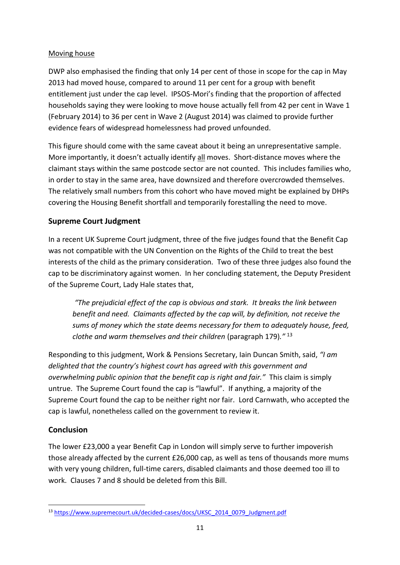#### Moving house

DWP also emphasised the finding that only 14 per cent of those in scope for the cap in May 2013 had moved house, compared to around 11 per cent for a group with benefit entitlement just under the cap level. IPSOS-Mori's finding that the proportion of affected households saying they were looking to move house actually fell from 42 per cent in Wave 1 (February 2014) to 36 per cent in Wave 2 (August 2014) was claimed to provide further evidence fears of widespread homelessness had proved unfounded.

This figure should come with the same caveat about it being an unrepresentative sample. More importantly, it doesn't actually identify all moves. Short-distance moves where the claimant stays within the same postcode sector are not counted. This includes families who, in order to stay in the same area, have downsized and therefore overcrowded themselves. The relatively small numbers from this cohort who have moved might be explained by DHPs covering the Housing Benefit shortfall and temporarily forestalling the need to move.

## **Supreme Court Judgment**

In a recent UK Supreme Court judgment, three of the five judges found that the Benefit Cap was not compatible with the UN Convention on the Rights of the Child to treat the best interests of the child as the primary consideration. Two of these three judges also found the cap to be discriminatory against women. In her concluding statement, the Deputy President of the Supreme Court, Lady Hale states that,

*"The prejudicial effect of the cap is obvious and stark. It breaks the link between benefit and need. Claimants affected by the cap will, by definition, not receive the sums of money which the state deems necessary for them to adequately house, feed, clothe and warm themselves and their children* (paragraph 179)*."* <sup>13</sup>

Responding to this judgment, Work & Pensions Secretary, Iain Duncan Smith, said, *"I am delighted that the country's highest court has agreed with this government and overwhelming public opinion that the benefit cap is right and fair."* This claim is simply untrue. The Supreme Court found the cap is "lawful". If anything, a majority of the Supreme Court found the cap to be neither right nor fair. Lord Carnwath, who accepted the cap is lawful, nonetheless called on the government to review it.

## **Conclusion**

The lower £23,000 a year Benefit Cap in London will simply serve to further impoverish those already affected by the current £26,000 cap, as well as tens of thousands more mums with very young children, full-time carers, disabled claimants and those deemed too ill to work. Clauses 7 and 8 should be deleted from this Bill.

**<sup>.</sup>** <sup>13</sup> [https://www.supremecourt.uk/decided-cases/docs/UKSC\\_2014\\_0079\\_Judgment.pdf](https://www.supremecourt.uk/decided-cases/docs/UKSC_2014_0079_Judgment.pdf)